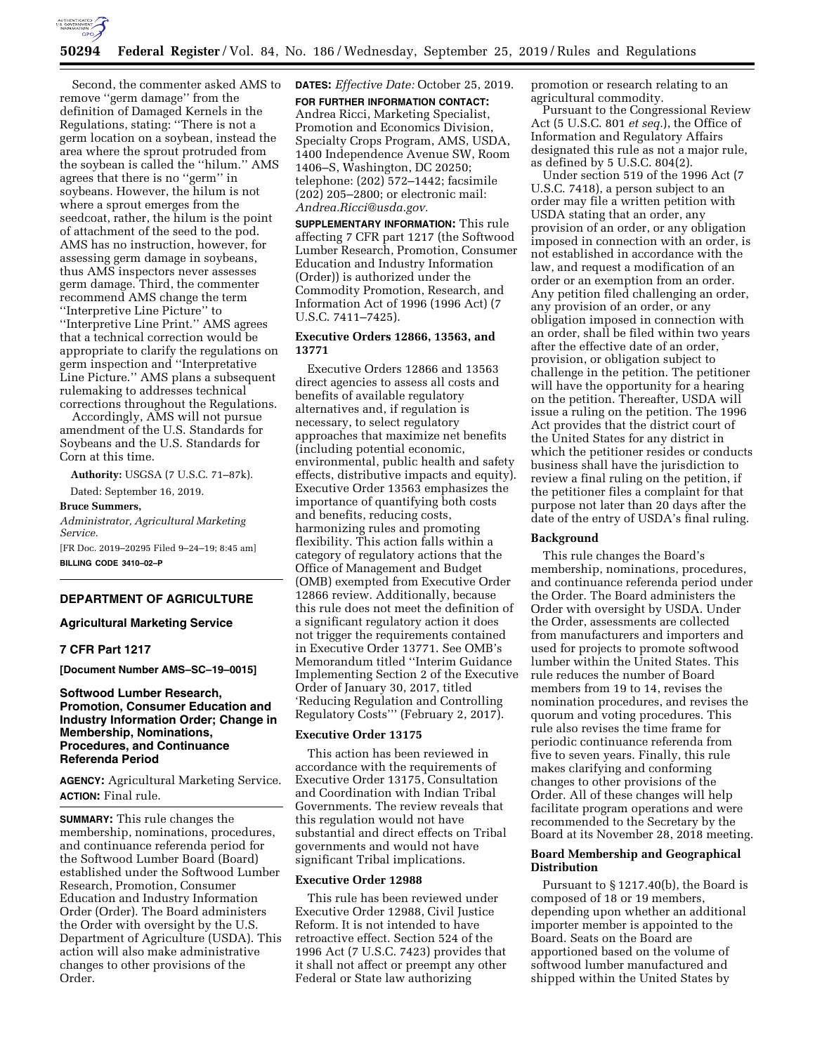

# **50294 Federal Register** / Vol. 84, No. 186 / Wednesday, September 25, 2019 / Rules and Regulations

Second, the commenter asked AMS to remove ''germ damage'' from the definition of Damaged Kernels in the Regulations, stating: ''There is not a germ location on a soybean, instead the area where the sprout protruded from the soybean is called the ''hilum.'' AMS agrees that there is no ''germ'' in soybeans. However, the hilum is not where a sprout emerges from the seedcoat, rather, the hilum is the point of attachment of the seed to the pod. AMS has no instruction, however, for assessing germ damage in soybeans, thus AMS inspectors never assesses germ damage. Third, the commenter recommend AMS change the term ''Interpretive Line Picture'' to ''Interpretive Line Print.'' AMS agrees that a technical correction would be appropriate to clarify the regulations on germ inspection and ''Interpretative Line Picture.'' AMS plans a subsequent rulemaking to addresses technical corrections throughout the Regulations.

Accordingly, AMS will not pursue amendment of the U.S. Standards for Soybeans and the U.S. Standards for Corn at this time.

**Authority:** USGSA (7 U.S.C. 71–87k).

Dated: September 16, 2019.

#### **Bruce Summers,**

*Administrator, Agricultural Marketing Service.* 

[FR Doc. 2019–20295 Filed 9–24–19; 8:45 am] **BILLING CODE 3410–02–P** 

## **DEPARTMENT OF AGRICULTURE**

# **Agricultural Marketing Service**

# **7 CFR Part 1217**

**[Document Number AMS–SC–19–0015]** 

# **Softwood Lumber Research, Promotion, Consumer Education and Industry Information Order; Change in Membership, Nominations, Procedures, and Continuance Referenda Period**

**AGENCY:** Agricultural Marketing Service. **ACTION:** Final rule.

**SUMMARY:** This rule changes the membership, nominations, procedures, and continuance referenda period for the Softwood Lumber Board (Board) established under the Softwood Lumber Research, Promotion, Consumer Education and Industry Information Order (Order). The Board administers the Order with oversight by the U.S. Department of Agriculture (USDA). This action will also make administrative changes to other provisions of the Order.

**DATES:** *Effective Date:* October 25, 2019.

**FOR FURTHER INFORMATION CONTACT:**  Andrea Ricci, Marketing Specialist, Promotion and Economics Division, Specialty Crops Program, AMS, USDA, 1400 Independence Avenue SW, Room 1406–S, Washington, DC 20250; telephone: (202) 572–1442; facsimile (202) 205–2800; or electronic mail: *[Andrea.Ricci@usda.gov.](mailto:Andrea.Ricci@usda.gov)* 

**SUPPLEMENTARY INFORMATION:** This rule affecting 7 CFR part 1217 (the Softwood Lumber Research, Promotion, Consumer Education and Industry Information (Order)) is authorized under the Commodity Promotion, Research, and Information Act of 1996 (1996 Act) (7 U.S.C. 7411–7425).

# **Executive Orders 12866, 13563, and 13771**

Executive Orders 12866 and 13563 direct agencies to assess all costs and benefits of available regulatory alternatives and, if regulation is necessary, to select regulatory approaches that maximize net benefits (including potential economic, environmental, public health and safety effects, distributive impacts and equity). Executive Order 13563 emphasizes the importance of quantifying both costs and benefits, reducing costs, harmonizing rules and promoting flexibility. This action falls within a category of regulatory actions that the Office of Management and Budget (OMB) exempted from Executive Order 12866 review. Additionally, because this rule does not meet the definition of a significant regulatory action it does not trigger the requirements contained in Executive Order 13771. See OMB's Memorandum titled ''Interim Guidance Implementing Section 2 of the Executive Order of January 30, 2017, titled 'Reducing Regulation and Controlling Regulatory Costs''' (February 2, 2017).

# **Executive Order 13175**

This action has been reviewed in accordance with the requirements of Executive Order 13175, Consultation and Coordination with Indian Tribal Governments. The review reveals that this regulation would not have substantial and direct effects on Tribal governments and would not have significant Tribal implications.

## **Executive Order 12988**

This rule has been reviewed under Executive Order 12988, Civil Justice Reform. It is not intended to have retroactive effect. Section 524 of the 1996 Act (7 U.S.C. 7423) provides that it shall not affect or preempt any other Federal or State law authorizing

promotion or research relating to an agricultural commodity.

Pursuant to the Congressional Review Act (5 U.S.C. 801 *et seq.*), the Office of Information and Regulatory Affairs designated this rule as not a major rule, as defined by 5 U.S.C. 804(2).

Under section 519 of the 1996 Act (7 U.S.C. 7418), a person subject to an order may file a written petition with USDA stating that an order, any provision of an order, or any obligation imposed in connection with an order, is not established in accordance with the law, and request a modification of an order or an exemption from an order. Any petition filed challenging an order, any provision of an order, or any obligation imposed in connection with an order, shall be filed within two years after the effective date of an order, provision, or obligation subject to challenge in the petition. The petitioner will have the opportunity for a hearing on the petition. Thereafter, USDA will issue a ruling on the petition. The 1996 Act provides that the district court of the United States for any district in which the petitioner resides or conducts business shall have the jurisdiction to review a final ruling on the petition, if the petitioner files a complaint for that purpose not later than 20 days after the date of the entry of USDA's final ruling.

### **Background**

This rule changes the Board's membership, nominations, procedures, and continuance referenda period under the Order. The Board administers the Order with oversight by USDA. Under the Order, assessments are collected from manufacturers and importers and used for projects to promote softwood lumber within the United States. This rule reduces the number of Board members from 19 to 14, revises the nomination procedures, and revises the quorum and voting procedures. This rule also revises the time frame for periodic continuance referenda from five to seven years. Finally, this rule makes clarifying and conforming changes to other provisions of the Order. All of these changes will help facilitate program operations and were recommended to the Secretary by the Board at its November 28, 2018 meeting.

## **Board Membership and Geographical Distribution**

Pursuant to § 1217.40(b), the Board is composed of 18 or 19 members, depending upon whether an additional importer member is appointed to the Board. Seats on the Board are apportioned based on the volume of softwood lumber manufactured and shipped within the United States by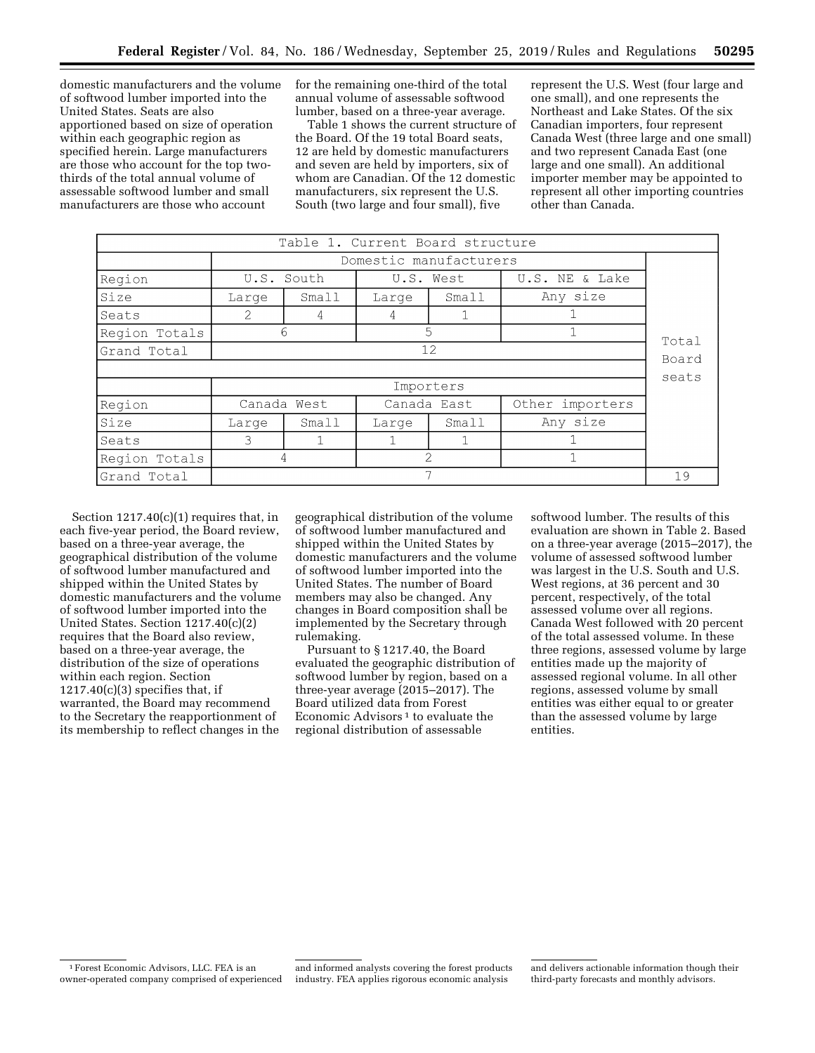domestic manufacturers and the volume of softwood lumber imported into the United States. Seats are also apportioned based on size of operation within each geographic region as specified herein. Large manufacturers are those who account for the top twothirds of the total annual volume of assessable softwood lumber and small manufacturers are those who account

for the remaining one-third of the total annual volume of assessable softwood lumber, based on a three-year average.

Table 1 shows the current structure of the Board. Of the 19 total Board seats, 12 are held by domestic manufacturers and seven are held by importers, six of whom are Canadian. Of the 12 domestic manufacturers, six represent the U.S. South (two large and four small), five

represent the U.S. West (four large and one small), and one represents the Northeast and Lake States. Of the six Canadian importers, four represent Canada West (three large and one small) and two represent Canada East (one large and one small). An additional importer member may be appointed to represent all other importing countries other than Canada.

| Table 1. Current Board structure |                        |             |             |                 |                |  |  |  |  |
|----------------------------------|------------------------|-------------|-------------|-----------------|----------------|--|--|--|--|
|                                  | Domestic manufacturers |             |             |                 |                |  |  |  |  |
| Region                           |                        | U.S. South  | U.S. West   |                 | U.S. NE & Lake |  |  |  |  |
| Size                             | Large                  | Small       | Large       | Small           | Any size       |  |  |  |  |
| Seats                            | 2<br>4<br>4            |             |             |                 |                |  |  |  |  |
| Region Totals                    | 5<br>6                 |             |             |                 |                |  |  |  |  |
| Grand Total                      | 12                     |             |             |                 |                |  |  |  |  |
| Board<br>seats                   |                        |             |             |                 |                |  |  |  |  |
|                                  | Importers              |             |             |                 |                |  |  |  |  |
| Region                           |                        | Canada West | Canada East | Other importers |                |  |  |  |  |
| Size                             | Large                  | Small       | Large       | Small           | Any size       |  |  |  |  |
| Seats                            | 3                      |             |             |                 |                |  |  |  |  |
| Region Totals                    | 4                      |             |             | $\mathcal{D}$   |                |  |  |  |  |
| Grand Total                      |                        |             |             |                 |                |  |  |  |  |

Section  $1217.40(c)(1)$  requires that, in each five-year period, the Board review, based on a three-year average, the geographical distribution of the volume of softwood lumber manufactured and shipped within the United States by domestic manufacturers and the volume of softwood lumber imported into the United States. Section 1217.40(c)(2) requires that the Board also review, based on a three-year average, the distribution of the size of operations within each region. Section  $1217.40(c)(3)$  specifies that, if warranted, the Board may recommend to the Secretary the reapportionment of its membership to reflect changes in the

geographical distribution of the volume of softwood lumber manufactured and shipped within the United States by domestic manufacturers and the volume of softwood lumber imported into the United States. The number of Board members may also be changed. Any changes in Board composition shall be implemented by the Secretary through rulemaking.

Pursuant to § 1217.40, the Board evaluated the geographic distribution of softwood lumber by region, based on a three-year average (2015–2017). The Board utilized data from Forest Economic Advisors<sup>1</sup> to evaluate the regional distribution of assessable

softwood lumber. The results of this evaluation are shown in Table 2. Based on a three-year average (2015–2017), the volume of assessed softwood lumber was largest in the U.S. South and U.S. West regions, at 36 percent and 30 percent, respectively, of the total assessed volume over all regions. Canada West followed with 20 percent of the total assessed volume. In these three regions, assessed volume by large entities made up the majority of assessed regional volume. In all other regions, assessed volume by small entities was either equal to or greater than the assessed volume by large entities.

<sup>1</sup>Forest Economic Advisors, LLC. FEA is an owner-operated company comprised of experienced

and informed analysts covering the forest products industry. FEA applies rigorous economic analysis

and delivers actionable information though their third-party forecasts and monthly advisors.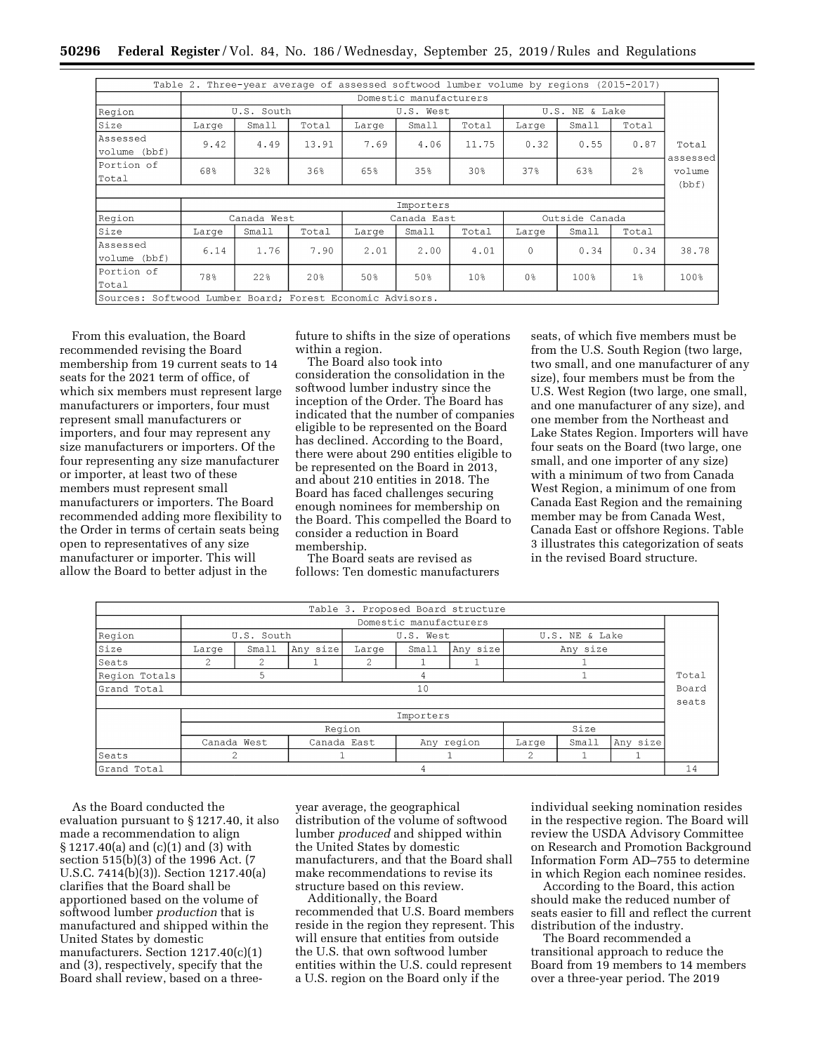|                                                              |                        | Table 2. Three-year average of assessed softwood lumber volume by regions (2015-2017) |       |             |       |                 |                   |       |       |                   |
|--------------------------------------------------------------|------------------------|---------------------------------------------------------------------------------------|-------|-------------|-------|-----------------|-------------------|-------|-------|-------------------|
|                                                              | Domestic manufacturers |                                                                                       |       |             |       |                 |                   |       |       |                   |
| Region                                                       | U.S. South             |                                                                                       |       | U.S. West   |       |                 | NE & Lake<br>U.S. |       |       |                   |
| Size                                                         | Large                  | Small                                                                                 | Total | Large       | Small | Total           | Large             | Small | Total |                   |
| Assessed<br>volume (bbf)                                     | 9.42                   | 4.49                                                                                  | 13.91 | 7.69        | 4.06  | 11.75           | 0.32              | 0.55  | 0.87  | Total<br>assessed |
| Portion of<br>Total                                          | 68%                    | 32%                                                                                   | 36%   | 65%         | 35%   | 30%             | 37%               | 63%   | 2%    | volume<br>(bbf)   |
|                                                              |                        |                                                                                       |       |             |       |                 |                   |       |       |                   |
|                                                              | Importers              |                                                                                       |       |             |       |                 |                   |       |       |                   |
| Region                                                       | Canada West            |                                                                                       |       | Canada East |       |                 | Outside Canada    |       |       |                   |
| Size                                                         | Large                  | Small                                                                                 | Total | Large       | Small | Total           | Large             | Small | Total |                   |
| Assessed<br>volume (bbf)                                     | 6.14                   | 1.76                                                                                  | 7.90  | 2.01        | 2.00  | 4.01            | $\mathbf{0}$      | 0.34  | 0.34  | 38.78             |
| Portion of<br>Total                                          | 78%                    | 22%                                                                                   | 20%   | 50%         | 50%   | 10 <sup>8</sup> | 0 <sup>°</sup>    | 100%  | 1%    | 100%              |
| Softwood Lumber Board; Forest Economic Advisors.<br>Sources: |                        |                                                                                       |       |             |       |                 |                   |       |       |                   |

From this evaluation, the Board recommended revising the Board membership from 19 current seats to 14 seats for the 2021 term of office, of which six members must represent large manufacturers or importers, four must represent small manufacturers or importers, and four may represent any size manufacturers or importers. Of the four representing any size manufacturer or importer, at least two of these members must represent small manufacturers or importers. The Board recommended adding more flexibility to the Order in terms of certain seats being open to representatives of any size manufacturer or importer. This will allow the Board to better adjust in the

future to shifts in the size of operations within a region.

The Board also took into consideration the consolidation in the softwood lumber industry since the inception of the Order. The Board has indicated that the number of companies eligible to be represented on the Board has declined. According to the Board, there were about 290 entities eligible to be represented on the Board in 2013, and about 210 entities in 2018. The Board has faced challenges securing enough nominees for membership on the Board. This compelled the Board to consider a reduction in Board membership.

The Board seats are revised as follows: Ten domestic manufacturers

seats, of which five members must be from the U.S. South Region (two large, two small, and one manufacturer of any size), four members must be from the U.S. West Region (two large, one small, and one manufacturer of any size), and one member from the Northeast and Lake States Region. Importers will have four seats on the Board (two large, one small, and one importer of any size) with a minimum of two from Canada West Region, a minimum of one from Canada East Region and the remaining member may be from Canada West, Canada East or offshore Regions. Table 3 illustrates this categorization of seats in the revised Board structure.

|               |                                                                      |             |             |  |  | Table 3. Proposed Board structure |       |       |          |  |
|---------------|----------------------------------------------------------------------|-------------|-------------|--|--|-----------------------------------|-------|-------|----------|--|
|               | Domestic manufacturers                                               |             |             |  |  |                                   |       |       |          |  |
| Region        | U.S. South<br>U.S. West                                              |             |             |  |  | U.S. NE & Lake                    |       |       |          |  |
| Size          | Any size<br>Any size<br>Small<br>Any size<br>Small<br>Large<br>Large |             |             |  |  |                                   |       |       |          |  |
| Seats         | $\mathcal{D}$<br>2<br>2                                              |             |             |  |  |                                   |       |       |          |  |
| Region Totals | 5<br>4                                                               |             |             |  |  |                                   |       | Total |          |  |
| Grand Total   | 10                                                                   |             |             |  |  |                                   |       |       | Board    |  |
|               |                                                                      |             |             |  |  |                                   |       |       | seats    |  |
|               | Importers                                                            |             |             |  |  |                                   |       |       |          |  |
|               | Size<br>Region                                                       |             |             |  |  |                                   |       |       |          |  |
|               |                                                                      | Canada West | Canada East |  |  | Any region                        | Large | Small | Any size |  |
| Seats         |                                                                      | 2           |             |  |  |                                   | 2     |       |          |  |
| Grand Total   | 4                                                                    |             |             |  |  |                                   |       | 14    |          |  |

As the Board conducted the evaluation pursuant to § 1217.40, it also made a recommendation to align § 1217.40(a) and (c)(1) and (3) with section 515(b)(3) of the 1996 Act. (7 U.S.C. 7414(b)(3)). Section 1217.40(a) clarifies that the Board shall be apportioned based on the volume of softwood lumber *production* that is manufactured and shipped within the United States by domestic manufacturers. Section 1217.40(c)(1) and (3), respectively, specify that the Board shall review, based on a threeyear average, the geographical distribution of the volume of softwood lumber *produced* and shipped within the United States by domestic manufacturers, and that the Board shall make recommendations to revise its structure based on this review.

Additionally, the Board recommended that U.S. Board members reside in the region they represent. This will ensure that entities from outside the U.S. that own softwood lumber entities within the U.S. could represent a U.S. region on the Board only if the

individual seeking nomination resides in the respective region. The Board will review the USDA Advisory Committee on Research and Promotion Background Information Form AD–755 to determine in which Region each nominee resides.

According to the Board, this action should make the reduced number of seats easier to fill and reflect the current distribution of the industry.

The Board recommended a transitional approach to reduce the Board from 19 members to 14 members over a three-year period. The 2019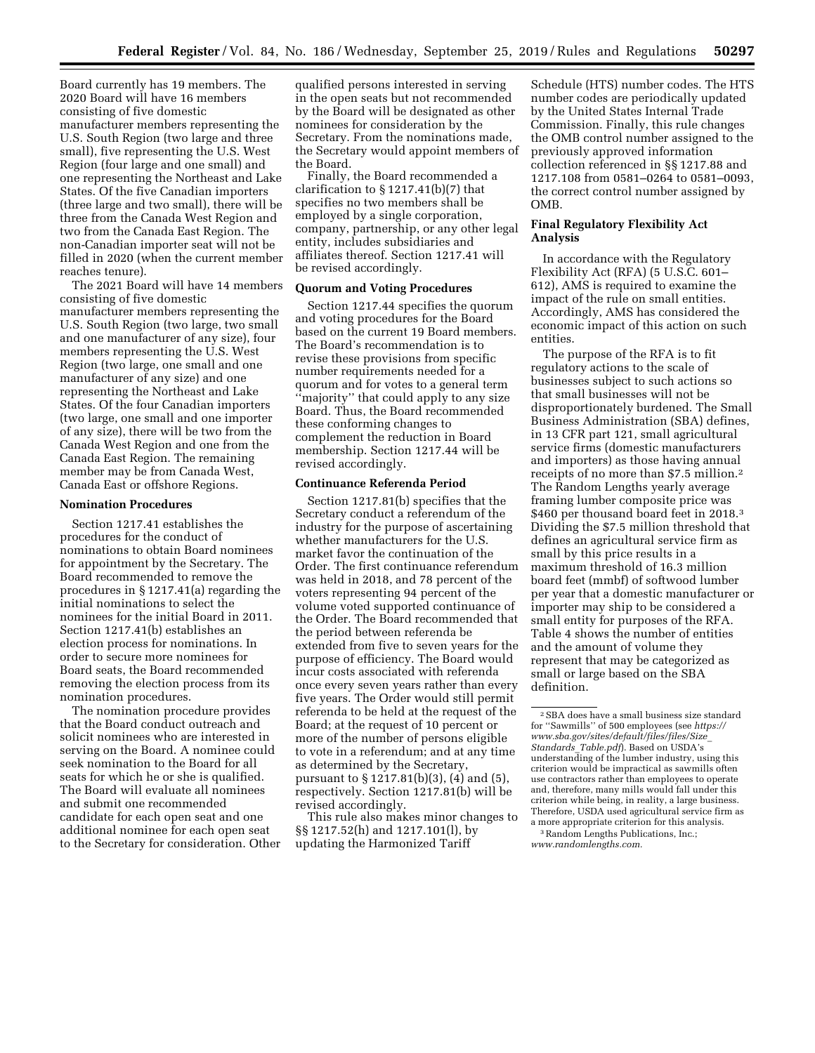Board currently has 19 members. The 2020 Board will have 16 members consisting of five domestic manufacturer members representing the U.S. South Region (two large and three small), five representing the U.S. West Region (four large and one small) and one representing the Northeast and Lake States. Of the five Canadian importers (three large and two small), there will be three from the Canada West Region and two from the Canada East Region. The non-Canadian importer seat will not be filled in 2020 (when the current member reaches tenure).

The 2021 Board will have 14 members consisting of five domestic manufacturer members representing the U.S. South Region (two large, two small and one manufacturer of any size), four members representing the U.S. West Region (two large, one small and one manufacturer of any size) and one representing the Northeast and Lake States. Of the four Canadian importers (two large, one small and one importer of any size), there will be two from the Canada West Region and one from the Canada East Region. The remaining member may be from Canada West, Canada East or offshore Regions.

#### **Nomination Procedures**

Section 1217.41 establishes the procedures for the conduct of nominations to obtain Board nominees for appointment by the Secretary. The Board recommended to remove the procedures in § 1217.41(a) regarding the initial nominations to select the nominees for the initial Board in 2011. Section 1217.41(b) establishes an election process for nominations. In order to secure more nominees for Board seats, the Board recommended removing the election process from its nomination procedures.

The nomination procedure provides that the Board conduct outreach and solicit nominees who are interested in serving on the Board. A nominee could seek nomination to the Board for all seats for which he or she is qualified. The Board will evaluate all nominees and submit one recommended candidate for each open seat and one additional nominee for each open seat to the Secretary for consideration. Other

qualified persons interested in serving in the open seats but not recommended by the Board will be designated as other nominees for consideration by the Secretary. From the nominations made, the Secretary would appoint members of the Board.

Finally, the Board recommended a clarification to  $\S 1217.41(b)(7)$  that specifies no two members shall be employed by a single corporation, company, partnership, or any other legal entity, includes subsidiaries and affiliates thereof. Section 1217.41 will be revised accordingly.

## **Quorum and Voting Procedures**

Section 1217.44 specifies the quorum and voting procedures for the Board based on the current 19 Board members. The Board's recommendation is to revise these provisions from specific number requirements needed for a quorum and for votes to a general term ''majority'' that could apply to any size Board. Thus, the Board recommended these conforming changes to complement the reduction in Board membership. Section 1217.44 will be revised accordingly.

#### **Continuance Referenda Period**

Section 1217.81(b) specifies that the Secretary conduct a referendum of the industry for the purpose of ascertaining whether manufacturers for the U.S. market favor the continuation of the Order. The first continuance referendum was held in 2018, and 78 percent of the voters representing 94 percent of the volume voted supported continuance of the Order. The Board recommended that the period between referenda be extended from five to seven years for the purpose of efficiency. The Board would incur costs associated with referenda once every seven years rather than every five years. The Order would still permit referenda to be held at the request of the Board; at the request of 10 percent or more of the number of persons eligible to vote in a referendum; and at any time as determined by the Secretary, pursuant to § 1217.81(b)(3), (4) and (5), respectively. Section 1217.81(b) will be revised accordingly.

This rule also makes minor changes to §§ 1217.52(h) and 1217.101(l), by updating the Harmonized Tariff

Schedule (HTS) number codes. The HTS number codes are periodically updated by the United States Internal Trade Commission. Finally, this rule changes the OMB control number assigned to the previously approved information collection referenced in §§ 1217.88 and 1217.108 from 0581–0264 to 0581–0093, the correct control number assigned by OMB.

# **Final Regulatory Flexibility Act Analysis**

In accordance with the Regulatory Flexibility Act (RFA) (5 U.S.C. 601– 612), AMS is required to examine the impact of the rule on small entities. Accordingly, AMS has considered the economic impact of this action on such entities.

The purpose of the RFA is to fit regulatory actions to the scale of businesses subject to such actions so that small businesses will not be disproportionately burdened. The Small Business Administration (SBA) defines, in 13 CFR part 121, small agricultural service firms (domestic manufacturers and importers) as those having annual receipts of no more than \$7.5 million.2 The Random Lengths yearly average framing lumber composite price was \$460 per thousand board feet in 2018.<sup>3</sup> Dividing the \$7.5 million threshold that defines an agricultural service firm as small by this price results in a maximum threshold of 16.3 million board feet (mmbf) of softwood lumber per year that a domestic manufacturer or importer may ship to be considered a small entity for purposes of the RFA. Table 4 shows the number of entities and the amount of volume they represent that may be categorized as small or large based on the SBA definition.

<sup>2</sup>SBA does have a small business size standard for ''Sawmills'' of 500 employees (see *[https://](https://www.sba.gov/sites/default/files/files/Size_Standards_Table.pdf) [www.sba.gov/sites/default/files/files/Size](https://www.sba.gov/sites/default/files/files/Size_Standards_Table.pdf)*\_ *[Standards](https://www.sba.gov/sites/default/files/files/Size_Standards_Table.pdf)*\_*Table.pdf*). Based on USDA's understanding of the lumber industry, using this criterion would be impractical as sawmills often use contractors rather than employees to operate and, therefore, many mills would fall under this criterion while being, in reality, a large business. Therefore, USDA used agricultural service firm as a more appropriate criterion for this analysis. 3Random Lengths Publications, Inc.;

*[www.randomlengths.com.](http://www.randomlengths.com)*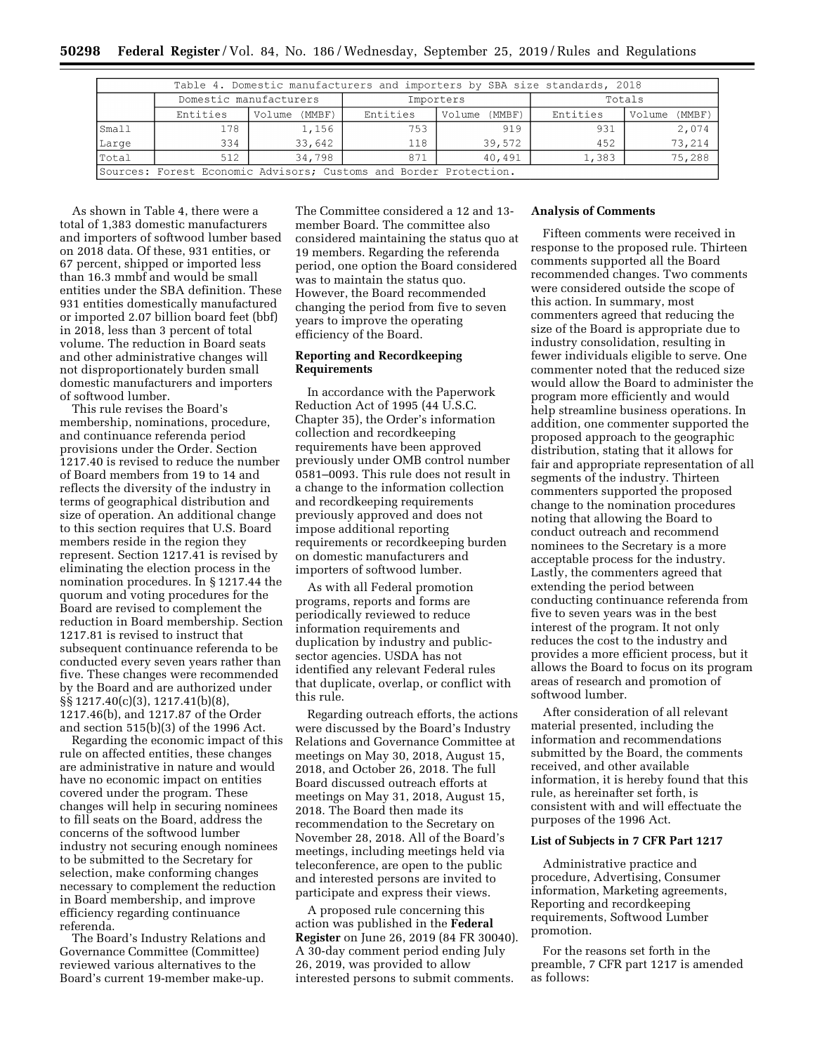| Table 4. Domestic manufacturers and importers by SBA size standards, 2018 |                                                                                    |                        |     |           |        |        |  |  |
|---------------------------------------------------------------------------|------------------------------------------------------------------------------------|------------------------|-----|-----------|--------|--------|--|--|
|                                                                           |                                                                                    | Domestic manufacturers |     | Importers | Totals |        |  |  |
|                                                                           | Entities<br>Entities<br>Entities<br>(MMBF)<br>Volume<br>(MMBF)<br>Volume<br>Volume |                        |     |           |        |        |  |  |
| Small                                                                     | 178                                                                                | 1,156                  | 753 | 919       | 931    | 2,074  |  |  |
| Large                                                                     | 334                                                                                | 33,642                 | 118 | 39,572    | 452    | 73,214 |  |  |
| Total                                                                     | 512                                                                                | 34,798                 | 871 | 40.491    | 1,383  | 75,288 |  |  |
| Sources: Forest Economic Advisors; Customs and Border Protection.         |                                                                                    |                        |     |           |        |        |  |  |

As shown in Table 4, there were a total of 1,383 domestic manufacturers and importers of softwood lumber based on 2018 data. Of these, 931 entities, or 67 percent, shipped or imported less than 16.3 mmbf and would be small entities under the SBA definition. These 931 entities domestically manufactured or imported 2.07 billion board feet (bbf) in 2018, less than 3 percent of total volume. The reduction in Board seats and other administrative changes will not disproportionately burden small domestic manufacturers and importers of softwood lumber.

This rule revises the Board's membership, nominations, procedure, and continuance referenda period provisions under the Order. Section 1217.40 is revised to reduce the number of Board members from 19 to 14 and reflects the diversity of the industry in terms of geographical distribution and size of operation. An additional change to this section requires that U.S. Board members reside in the region they represent. Section 1217.41 is revised by eliminating the election process in the nomination procedures. In § 1217.44 the quorum and voting procedures for the Board are revised to complement the reduction in Board membership. Section 1217.81 is revised to instruct that subsequent continuance referenda to be conducted every seven years rather than five. These changes were recommended by the Board and are authorized under §§ 1217.40(c)(3), 1217.41(b)(8), 1217.46(b), and 1217.87 of the Order and section 515(b)(3) of the 1996 Act.

Regarding the economic impact of this rule on affected entities, these changes are administrative in nature and would have no economic impact on entities covered under the program. These changes will help in securing nominees to fill seats on the Board, address the concerns of the softwood lumber industry not securing enough nominees to be submitted to the Secretary for selection, make conforming changes necessary to complement the reduction in Board membership, and improve efficiency regarding continuance referenda.

The Board's Industry Relations and Governance Committee (Committee) reviewed various alternatives to the Board's current 19-member make-up.

The Committee considered a 12 and 13 member Board. The committee also considered maintaining the status quo at 19 members. Regarding the referenda period, one option the Board considered was to maintain the status quo. However, the Board recommended changing the period from five to seven years to improve the operating efficiency of the Board.

## **Reporting and Recordkeeping Requirements**

In accordance with the Paperwork Reduction Act of 1995 (44 U.S.C. Chapter 35), the Order's information collection and recordkeeping requirements have been approved previously under OMB control number 0581–0093. This rule does not result in a change to the information collection and recordkeeping requirements previously approved and does not impose additional reporting requirements or recordkeeping burden on domestic manufacturers and importers of softwood lumber.

As with all Federal promotion programs, reports and forms are periodically reviewed to reduce information requirements and duplication by industry and publicsector agencies. USDA has not identified any relevant Federal rules that duplicate, overlap, or conflict with this rule.

Regarding outreach efforts, the actions were discussed by the Board's Industry Relations and Governance Committee at meetings on May 30, 2018, August 15, 2018, and October 26, 2018. The full Board discussed outreach efforts at meetings on May 31, 2018, August 15, 2018. The Board then made its recommendation to the Secretary on November 28, 2018. All of the Board's meetings, including meetings held via teleconference, are open to the public and interested persons are invited to participate and express their views.

A proposed rule concerning this action was published in the **Federal Register** on June 26, 2019 (84 FR 30040). A 30-day comment period ending July 26, 2019, was provided to allow interested persons to submit comments.

## **Analysis of Comments**

Fifteen comments were received in response to the proposed rule. Thirteen comments supported all the Board recommended changes. Two comments were considered outside the scope of this action. In summary, most commenters agreed that reducing the size of the Board is appropriate due to industry consolidation, resulting in fewer individuals eligible to serve. One commenter noted that the reduced size would allow the Board to administer the program more efficiently and would help streamline business operations. In addition, one commenter supported the proposed approach to the geographic distribution, stating that it allows for fair and appropriate representation of all segments of the industry. Thirteen commenters supported the proposed change to the nomination procedures noting that allowing the Board to conduct outreach and recommend nominees to the Secretary is a more acceptable process for the industry. Lastly, the commenters agreed that extending the period between conducting continuance referenda from five to seven years was in the best interest of the program. It not only reduces the cost to the industry and provides a more efficient process, but it allows the Board to focus on its program areas of research and promotion of softwood lumber.

After consideration of all relevant material presented, including the information and recommendations submitted by the Board, the comments received, and other available information, it is hereby found that this rule, as hereinafter set forth, is consistent with and will effectuate the purposes of the 1996 Act.

# **List of Subjects in 7 CFR Part 1217**

Administrative practice and procedure, Advertising, Consumer information, Marketing agreements, Reporting and recordkeeping requirements, Softwood Lumber promotion.

For the reasons set forth in the preamble, 7 CFR part 1217 is amended as follows: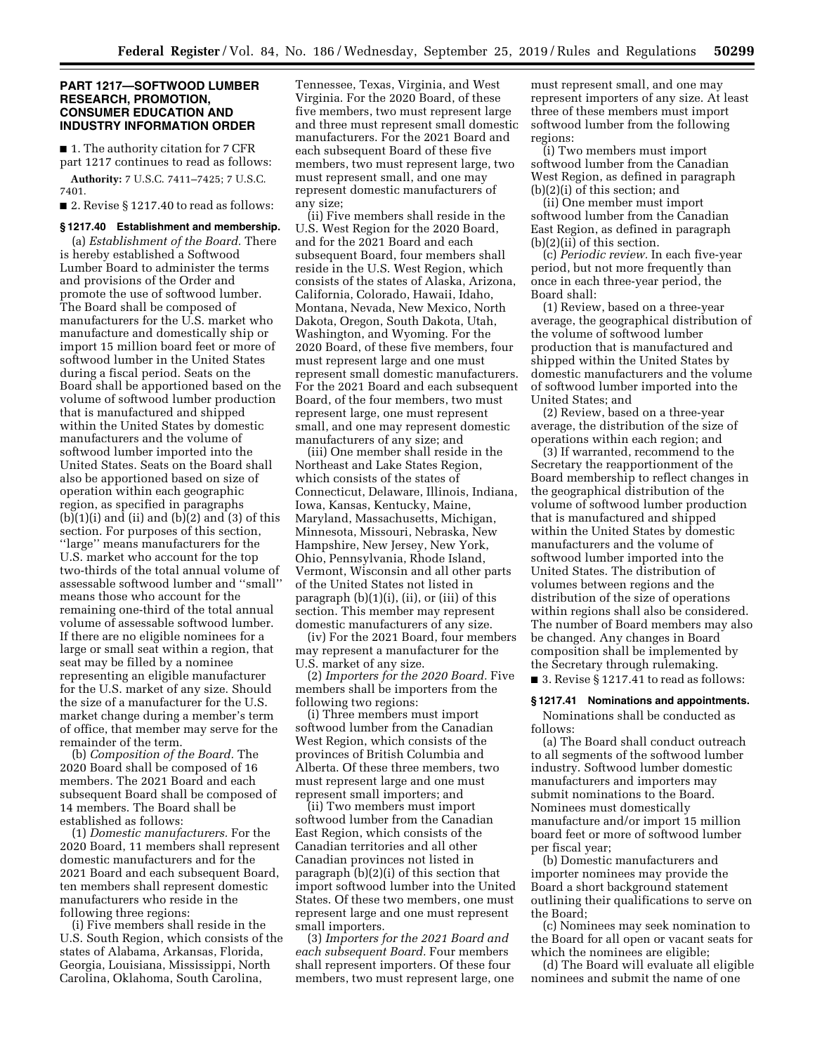## **PART 1217—SOFTWOOD LUMBER RESEARCH, PROMOTION, CONSUMER EDUCATION AND INDUSTRY INFORMATION ORDER**

■ 1. The authority citation for 7 CFR part 1217 continues to read as follows: **Authority:** 7 U.S.C. 7411–7425; 7 U.S.C.

7401.

■ 2. Revise § 1217.40 to read as follows:

#### **§ 1217.40 Establishment and membership.**

(a) *Establishment of the Board.* There is hereby established a Softwood Lumber Board to administer the terms and provisions of the Order and promote the use of softwood lumber. The Board shall be composed of manufacturers for the U.S. market who manufacture and domestically ship or import 15 million board feet or more of softwood lumber in the United States during a fiscal period. Seats on the Board shall be apportioned based on the volume of softwood lumber production that is manufactured and shipped within the United States by domestic manufacturers and the volume of softwood lumber imported into the United States. Seats on the Board shall also be apportioned based on size of operation within each geographic region, as specified in paragraphs  $(b)(1)(i)$  and  $(ii)$  and  $(b)(2)$  and  $(3)$  of this section. For purposes of this section, ''large'' means manufacturers for the U.S. market who account for the top two-thirds of the total annual volume of assessable softwood lumber and ''small'' means those who account for the remaining one-third of the total annual volume of assessable softwood lumber. If there are no eligible nominees for a large or small seat within a region, that seat may be filled by a nominee representing an eligible manufacturer for the U.S. market of any size. Should the size of a manufacturer for the U.S. market change during a member's term of office, that member may serve for the remainder of the term.

(b) *Composition of the Board.* The 2020 Board shall be composed of 16 members. The 2021 Board and each subsequent Board shall be composed of 14 members. The Board shall be established as follows:

(1) *Domestic manufacturers.* For the 2020 Board, 11 members shall represent domestic manufacturers and for the 2021 Board and each subsequent Board, ten members shall represent domestic manufacturers who reside in the following three regions:

(i) Five members shall reside in the U.S. South Region, which consists of the states of Alabama, Arkansas, Florida, Georgia, Louisiana, Mississippi, North Carolina, Oklahoma, South Carolina,

Tennessee, Texas, Virginia, and West Virginia. For the 2020 Board, of these five members, two must represent large and three must represent small domestic manufacturers. For the 2021 Board and each subsequent Board of these five members, two must represent large, two must represent small, and one may represent domestic manufacturers of any size;

(ii) Five members shall reside in the U.S. West Region for the 2020 Board, and for the 2021 Board and each subsequent Board, four members shall reside in the U.S. West Region, which consists of the states of Alaska, Arizona, California, Colorado, Hawaii, Idaho, Montana, Nevada, New Mexico, North Dakota, Oregon, South Dakota, Utah, Washington, and Wyoming. For the 2020 Board, of these five members, four must represent large and one must represent small domestic manufacturers. For the 2021 Board and each subsequent Board, of the four members, two must represent large, one must represent small, and one may represent domestic manufacturers of any size; and

(iii) One member shall reside in the Northeast and Lake States Region, which consists of the states of Connecticut, Delaware, Illinois, Indiana, Iowa, Kansas, Kentucky, Maine, Maryland, Massachusetts, Michigan, Minnesota, Missouri, Nebraska, New Hampshire, New Jersey, New York, Ohio, Pennsylvania, Rhode Island, Vermont, Wisconsin and all other parts of the United States not listed in paragraph (b)(1)(i), (ii), or (iii) of this section. This member may represent domestic manufacturers of any size.

(iv) For the 2021 Board, four members may represent a manufacturer for the U.S. market of any size.

(2) *Importers for the 2020 Board.* Five members shall be importers from the following two regions:

(i) Three members must import softwood lumber from the Canadian West Region, which consists of the provinces of British Columbia and Alberta. Of these three members, two must represent large and one must represent small importers; and

(ii) Two members must import softwood lumber from the Canadian East Region, which consists of the Canadian territories and all other Canadian provinces not listed in paragraph (b)(2)(i) of this section that import softwood lumber into the United States. Of these two members, one must represent large and one must represent small importers.

(3) *Importers for the 2021 Board and each subsequent Board.* Four members shall represent importers. Of these four members, two must represent large, one

must represent small, and one may represent importers of any size. At least three of these members must import softwood lumber from the following regions:

(i) Two members must import softwood lumber from the Canadian West Region, as defined in paragraph (b)(2)(i) of this section; and

(ii) One member must import softwood lumber from the Canadian East Region, as defined in paragraph (b)(2)(ii) of this section.

(c) *Periodic review.* In each five-year period, but not more frequently than once in each three-year period, the Board shall:

(1) Review, based on a three-year average, the geographical distribution of the volume of softwood lumber production that is manufactured and shipped within the United States by domestic manufacturers and the volume of softwood lumber imported into the United States; and

(2) Review, based on a three-year average, the distribution of the size of operations within each region; and

(3) If warranted, recommend to the Secretary the reapportionment of the Board membership to reflect changes in the geographical distribution of the volume of softwood lumber production that is manufactured and shipped within the United States by domestic manufacturers and the volume of softwood lumber imported into the United States. The distribution of volumes between regions and the distribution of the size of operations within regions shall also be considered. The number of Board members may also be changed. Any changes in Board composition shall be implemented by the Secretary through rulemaking.

■ 3. Revise § 1217.41 to read as follows:

## **§ 1217.41 Nominations and appointments.**

Nominations shall be conducted as follows:

(a) The Board shall conduct outreach to all segments of the softwood lumber industry. Softwood lumber domestic manufacturers and importers may submit nominations to the Board. Nominees must domestically manufacture and/or import 15 million board feet or more of softwood lumber per fiscal year;

(b) Domestic manufacturers and importer nominees may provide the Board a short background statement outlining their qualifications to serve on the Board;

(c) Nominees may seek nomination to the Board for all open or vacant seats for which the nominees are eligible;

(d) The Board will evaluate all eligible nominees and submit the name of one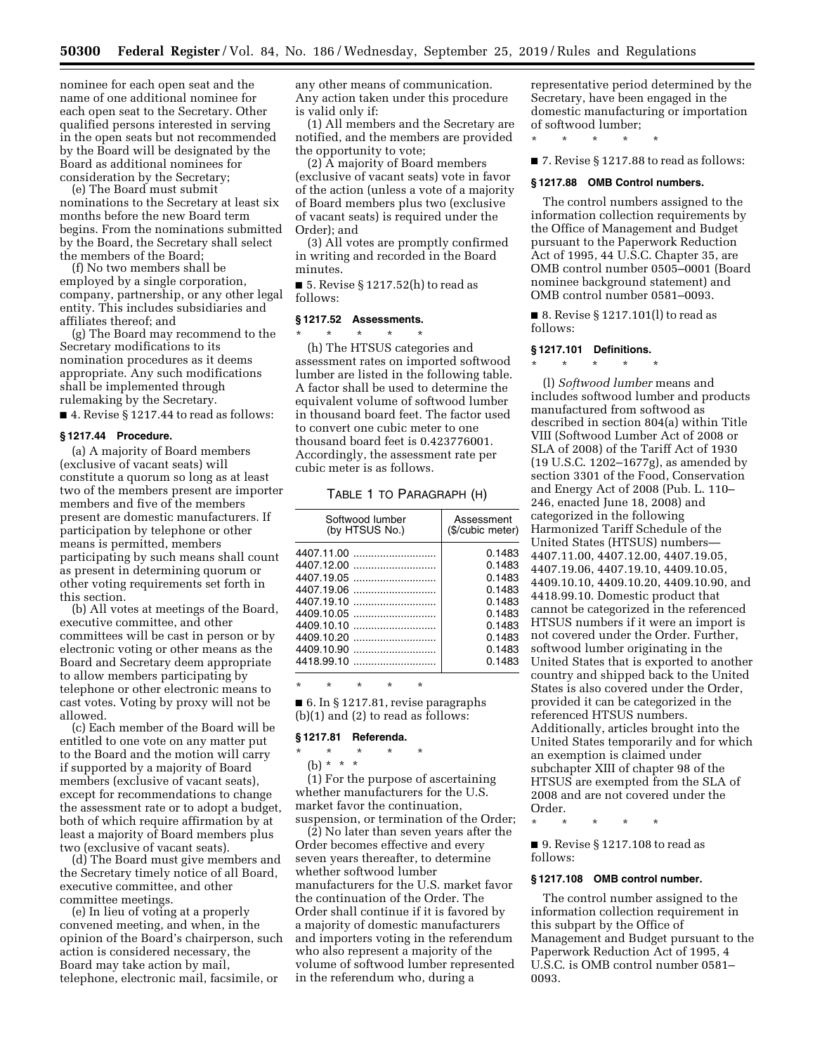nominee for each open seat and the name of one additional nominee for each open seat to the Secretary. Other qualified persons interested in serving in the open seats but not recommended by the Board will be designated by the Board as additional nominees for consideration by the Secretary;

(e) The Board must submit nominations to the Secretary at least six months before the new Board term begins. From the nominations submitted by the Board, the Secretary shall select the members of the Board;

(f) No two members shall be employed by a single corporation, company, partnership, or any other legal entity. This includes subsidiaries and affiliates thereof; and

(g) The Board may recommend to the Secretary modifications to its nomination procedures as it deems appropriate. Any such modifications shall be implemented through rulemaking by the Secretary.

■ 4. Revise § 1217.44 to read as follows:

#### **§ 1217.44 Procedure.**

(a) A majority of Board members (exclusive of vacant seats) will constitute a quorum so long as at least two of the members present are importer members and five of the members present are domestic manufacturers. If participation by telephone or other means is permitted, members participating by such means shall count as present in determining quorum or other voting requirements set forth in this section.

(b) All votes at meetings of the Board, executive committee, and other committees will be cast in person or by electronic voting or other means as the Board and Secretary deem appropriate to allow members participating by telephone or other electronic means to cast votes. Voting by proxy will not be allowed.

(c) Each member of the Board will be entitled to one vote on any matter put to the Board and the motion will carry if supported by a majority of Board members (exclusive of vacant seats), except for recommendations to change the assessment rate or to adopt a budget, both of which require affirmation by at least a majority of Board members plus two (exclusive of vacant seats).

(d) The Board must give members and the Secretary timely notice of all Board, executive committee, and other committee meetings.

(e) In lieu of voting at a properly convened meeting, and when, in the opinion of the Board's chairperson, such action is considered necessary, the Board may take action by mail, telephone, electronic mail, facsimile, or

any other means of communication. Any action taken under this procedure is valid only if:

(1) All members and the Secretary are notified, and the members are provided the opportunity to vote;

(2) A majority of Board members (exclusive of vacant seats) vote in favor of the action (unless a vote of a majority of Board members plus two (exclusive of vacant seats) is required under the Order); and

(3) All votes are promptly confirmed in writing and recorded in the Board minutes.

■ 5. Revise § 1217.52(h) to read as follows:

# **§ 1217.52 Assessments.**

\* \* \* \* \* (h) The HTSUS categories and assessment rates on imported softwood lumber are listed in the following table. A factor shall be used to determine the equivalent volume of softwood lumber in thousand board feet. The factor used to convert one cubic meter to one thousand board feet is 0.423776001. Accordingly, the assessment rate per cubic meter is as follows.

#### TABLE 1 TO PARAGRAPH (H)

| Softwood lumber<br>(by HTSUS No.) | Assessment<br>(\$/cubic meter) |
|-----------------------------------|--------------------------------|
|                                   | 0.1483                         |
| 4407.12.00                        | 0.1483                         |
| 4407.19.05                        | 0.1483                         |
| 4407.19.06                        | 0.1483                         |
| 4407.19.10                        | 0.1483                         |
| 4409.10.05                        | 0.1483                         |
| 4409.10.10                        | 0.1483                         |
| 4409.10.20                        | 0.1483                         |
| 4409.10.90                        | 0.1483                         |
| 4418.99.10                        | 0.1483                         |

\* \* \* \* \* ■ 6. In § 1217.81, revise paragraphs (b)(1) and (2) to read as follows:

#### **§ 1217.81 Referenda.**

- \* \* \* \* \*
	- (b) \* \* \*

(1) For the purpose of ascertaining whether manufacturers for the U.S. market favor the continuation, suspension, or termination of the Order;

(2) No later than seven years after the Order becomes effective and every seven years thereafter, to determine whether softwood lumber manufacturers for the U.S. market favor the continuation of the Order. The Order shall continue if it is favored by a majority of domestic manufacturers and importers voting in the referendum who also represent a majority of the volume of softwood lumber represented in the referendum who, during a

representative period determined by the Secretary, have been engaged in the domestic manufacturing or importation of softwood lumber;

\* \* \* \* \*

■ 7. Revise § 1217.88 to read as follows:

## **§ 1217.88 OMB Control numbers.**

The control numbers assigned to the information collection requirements by the Office of Management and Budget pursuant to the Paperwork Reduction Act of 1995, 44 U.S.C. Chapter 35, are OMB control number 0505–0001 (Board nominee background statement) and OMB control number 0581–0093.

■ 8. Revise § 1217.101(l) to read as follows:

## **§ 1217.101 Definitions.**

\* \* \* \* \* (l) *Softwood lumber* means and includes softwood lumber and products manufactured from softwood as described in section 804(a) within Title VIII (Softwood Lumber Act of 2008 or SLA of 2008) of the Tariff Act of 1930 (19 U.S.C. 1202–1677g), as amended by section 3301 of the Food, Conservation and Energy Act of 2008 (Pub. L. 110– 246, enacted June 18, 2008) and categorized in the following Harmonized Tariff Schedule of the United States (HTSUS) numbers— 4407.11.00, 4407.12.00, 4407.19.05, 4407.19.06, 4407.19.10, 4409.10.05, 4409.10.10, 4409.10.20, 4409.10.90, and 4418.99.10. Domestic product that cannot be categorized in the referenced HTSUS numbers if it were an import is not covered under the Order. Further, softwood lumber originating in the United States that is exported to another country and shipped back to the United States is also covered under the Order, provided it can be categorized in the referenced HTSUS numbers. Additionally, articles brought into the United States temporarily and for which an exemption is claimed under subchapter XIII of chapter 98 of the HTSUS are exempted from the SLA of 2008 and are not covered under the Order.

\* \* \* \* \*

■ 9. Revise § 1217.108 to read as follows:

## **§ 1217.108 OMB control number.**

The control number assigned to the information collection requirement in this subpart by the Office of Management and Budget pursuant to the Paperwork Reduction Act of 1995, 4 U.S.C. is OMB control number 0581– 0093.